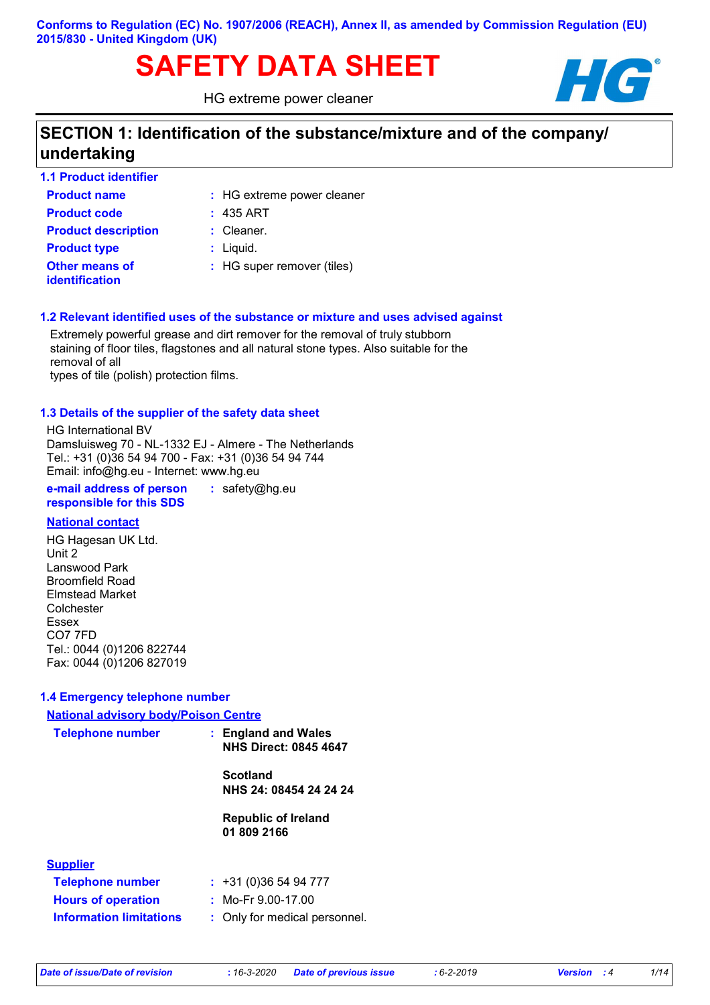# SAFETY DATA SHEET **HG**

HG extreme power cleaner



# **SECTION 1: Identification of the substance/mixture and of the company/ undertaking**

| <b>1.1 Product identifier</b>           |                            |
|-----------------------------------------|----------------------------|
| <b>Product name</b>                     | : HG extreme power cleaner |
| <b>Product code</b>                     | $: 435$ ART                |
| <b>Product description</b>              | $:$ Cleaner.               |
| <b>Product type</b>                     | $:$ Liquid.                |
| Other means of<br><b>identification</b> | : HG super remover (tiles) |

#### **1.2 Relevant identified uses of the substance or mixture and uses advised against**

Extremely powerful grease and dirt remover for the removal of truly stubborn staining of floor tiles, flagstones and all natural stone types. Also suitable for the removal of all

types of tile (polish) protection films.

#### **1.3 Details of the supplier of the safety data sheet**

HG International BV Damsluisweg 70 - NL-1332 EJ - Almere - The Netherlands Tel.: +31 (0)36 54 94 700 - Fax: +31 (0)36 54 94 744 Email: info@hg.eu - Internet: www.hg.eu

**e-mail address of person responsible for this SDS :** safety@hg.eu

#### **National contact**

HG Hagesan UK Ltd. Unit 2 Lanswood Park Broomfield Road Elmstead Market **Colchester** Essex CO7 7FD Tel.: 0044 (0)1206 822744 Fax: 0044 (0)1206 827019

#### **1.4 Emergency telephone number**

# **:** Only for medical personnel. **Information limitations National advisory body/Poison Centre Telephone number : Supplier Telephone number : Hours of operation :** +31 (0)36 54 94 777 **England and Wales NHS Direct: 0845 4647 Scotland NHS 24: 08454 24 24 24 Republic of Ireland 01 809 2166** Mo-Fr 9.00-17.00

*Date of issue/Date of revision* **:** *16-3-2020 Date of previous issue : 6-2-2019 Version : 4 1/14*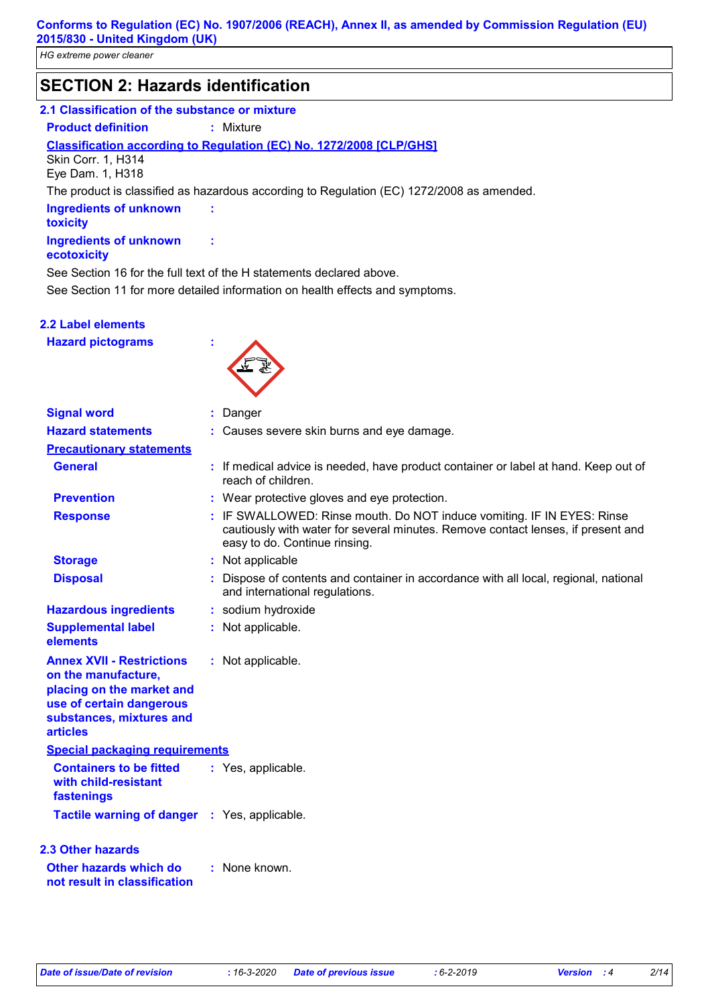### **SECTION 2: Hazards identification**

#### **2.1 Classification of the substance or mixture**

**Product definition :** Mixture

**Classification according to Regulation (EC) No. 1272/2008 [CLP/GHS]**

Skin Corr. 1, H314 Eye Dam. 1, H318

The product is classified as hazardous according to Regulation (EC) 1272/2008 as amended.

**Ingredients of unknown toxicity Ingredients of unknown** 

#### **ecotoxicity**

See Section 11 for more detailed information on health effects and symptoms. See Section 16 for the full text of the H statements declared above.

**:**

**:**

**2.2 Label elements**

**Hazard pictograms :**



| <b>Signal word</b>                                                                                                                                              | : Danger                                                                                                                                                                                    |  |  |
|-----------------------------------------------------------------------------------------------------------------------------------------------------------------|---------------------------------------------------------------------------------------------------------------------------------------------------------------------------------------------|--|--|
| <b>Hazard statements</b>                                                                                                                                        | : Causes severe skin burns and eye damage.                                                                                                                                                  |  |  |
| <b>Precautionary statements</b>                                                                                                                                 |                                                                                                                                                                                             |  |  |
| <b>General</b>                                                                                                                                                  | : If medical advice is needed, have product container or label at hand. Keep out of<br>reach of children.                                                                                   |  |  |
| <b>Prevention</b>                                                                                                                                               | : Wear protective gloves and eye protection.                                                                                                                                                |  |  |
| <b>Response</b>                                                                                                                                                 | : IF SWALLOWED: Rinse mouth. Do NOT induce vomiting. IF IN EYES: Rinse<br>cautiously with water for several minutes. Remove contact lenses, if present and<br>easy to do. Continue rinsing. |  |  |
| <b>Storage</b>                                                                                                                                                  | : Not applicable                                                                                                                                                                            |  |  |
| <b>Disposal</b>                                                                                                                                                 | Dispose of contents and container in accordance with all local, regional, national<br>and international regulations.                                                                        |  |  |
| <b>Hazardous ingredients</b>                                                                                                                                    | : sodium hydroxide                                                                                                                                                                          |  |  |
| <b>Supplemental label</b><br>elements                                                                                                                           | : Not applicable.                                                                                                                                                                           |  |  |
| <b>Annex XVII - Restrictions</b><br>on the manufacture,<br>placing on the market and<br>use of certain dangerous<br>substances, mixtures and<br><b>articles</b> | : Not applicable.                                                                                                                                                                           |  |  |
| <b>Special packaging requirements</b>                                                                                                                           |                                                                                                                                                                                             |  |  |
| <b>Containers to be fitted</b><br>with child-resistant<br>fastenings                                                                                            | : Yes, applicable.                                                                                                                                                                          |  |  |
| Tactile warning of danger : Yes, applicable.                                                                                                                    |                                                                                                                                                                                             |  |  |
| <b>2.3 Other hazards</b><br>Other hazards which do<br>not result in classification                                                                              | : None known.                                                                                                                                                                               |  |  |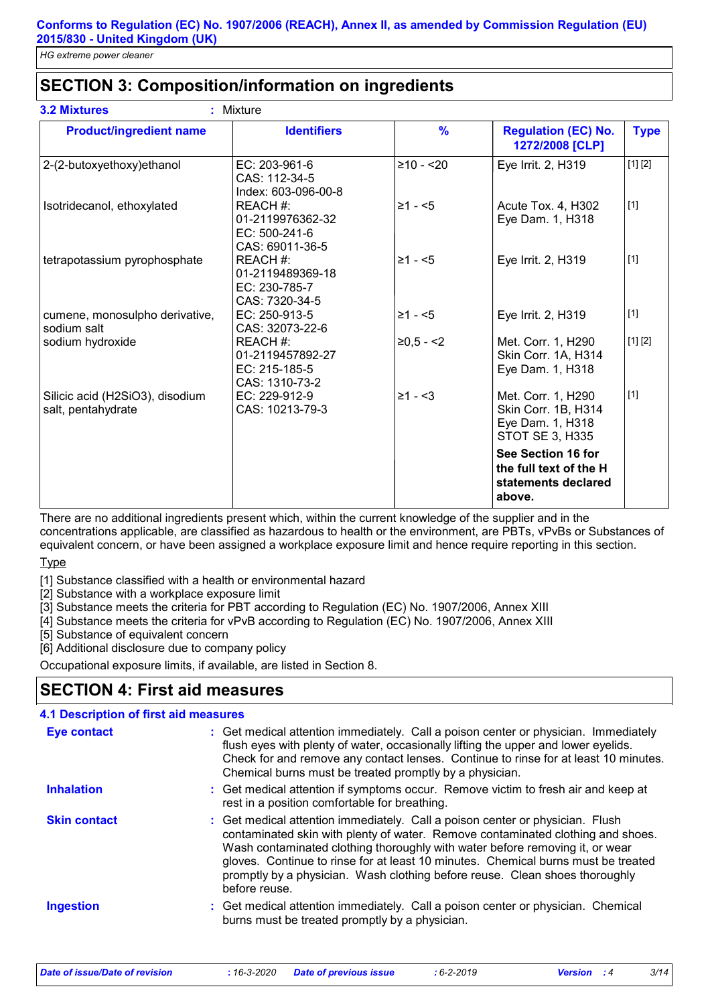# **SECTION 3: Composition/information on ingredients**

| <b>Product/ingredient name</b>                        | <b>Identifiers</b>                                                 | $\frac{9}{6}$ | <b>Regulation (EC) No.</b><br>1272/2008 [CLP]                                    | <b>Type</b><br>[1] [2] |
|-------------------------------------------------------|--------------------------------------------------------------------|---------------|----------------------------------------------------------------------------------|------------------------|
| 2-(2-butoxyethoxy)ethanol                             | EC: 203-961-6<br>CAS: 112-34-5<br>Index: 603-096-00-8              | $≥10 - 20$    | Eye Irrit. 2, H319                                                               |                        |
| Isotridecanol, ethoxylated                            | REACH #:<br>01-2119976362-32<br>$EC: 500-241-6$<br>CAS: 69011-36-5 | $\geq 1 - 5$  | Acute Tox. 4, H302<br>Eye Dam. 1, H318                                           | $[1]$                  |
| tetrapotassium pyrophosphate                          | REACH#:<br>01-2119489369-18<br>EC: 230-785-7<br>CAS: 7320-34-5     | $\geq 1 - 5$  | Eye Irrit. 2, H319                                                               | $[1]$                  |
| cumene, monosulpho derivative,<br>sodium salt         | EC: 250-913-5<br>CAS: 32073-22-6                                   | $\geq 1 - 5$  | Eye Irrit. 2, H319                                                               | $[1]$                  |
| sodium hydroxide                                      | REACH #:<br>01-2119457892-27<br>EC: 215-185-5<br>CAS: 1310-73-2    | $≥0,5 - <2$   | Met. Corr. 1, H290<br>Skin Corr. 1A, H314<br>Eye Dam. 1, H318                    | [1] [2]                |
| Silicic acid (H2SiO3), disodium<br>salt, pentahydrate | EC: 229-912-9<br>CAS: 10213-79-3                                   | $\geq 1 - 3$  | Met. Corr. 1, H290<br>Skin Corr. 1B, H314<br>Eye Dam. 1, H318<br>STOT SE 3, H335 | $[1]$                  |
|                                                       |                                                                    |               | See Section 16 for<br>the full text of the H<br>statements declared<br>above.    |                        |

There are no additional ingredients present which, within the current knowledge of the supplier and in the concentrations applicable, are classified as hazardous to health or the environment, are PBTs, vPvBs or Substances of equivalent concern, or have been assigned a workplace exposure limit and hence require reporting in this section.

**Type** 

[1] Substance classified with a health or environmental hazard

[2] Substance with a workplace exposure limit

[3] Substance meets the criteria for PBT according to Regulation (EC) No. 1907/2006, Annex XIII

[4] Substance meets the criteria for vPvB according to Regulation (EC) No. 1907/2006, Annex XIII

[5] Substance of equivalent concern

[6] Additional disclosure due to company policy

Occupational exposure limits, if available, are listed in Section 8.

### **SECTION 4: First aid measures**

#### **4.1 Description of first aid measures**

| <b>Eye contact</b>  | : Get medical attention immediately. Call a poison center or physician. Immediately<br>flush eyes with plenty of water, occasionally lifting the upper and lower eyelids.<br>Check for and remove any contact lenses. Continue to rinse for at least 10 minutes.<br>Chemical burns must be treated promptly by a physician.                                                                                                           |
|---------------------|---------------------------------------------------------------------------------------------------------------------------------------------------------------------------------------------------------------------------------------------------------------------------------------------------------------------------------------------------------------------------------------------------------------------------------------|
| <b>Inhalation</b>   | : Get medical attention if symptoms occur. Remove victim to fresh air and keep at<br>rest in a position comfortable for breathing.                                                                                                                                                                                                                                                                                                    |
| <b>Skin contact</b> | : Get medical attention immediately. Call a poison center or physician. Flush<br>contaminated skin with plenty of water. Remove contaminated clothing and shoes.<br>Wash contaminated clothing thoroughly with water before removing it, or wear<br>gloves. Continue to rinse for at least 10 minutes. Chemical burns must be treated<br>promptly by a physician. Wash clothing before reuse. Clean shoes thoroughly<br>before reuse. |
| <b>Ingestion</b>    | : Get medical attention immediately. Call a poison center or physician. Chemical<br>burns must be treated promptly by a physician.                                                                                                                                                                                                                                                                                                    |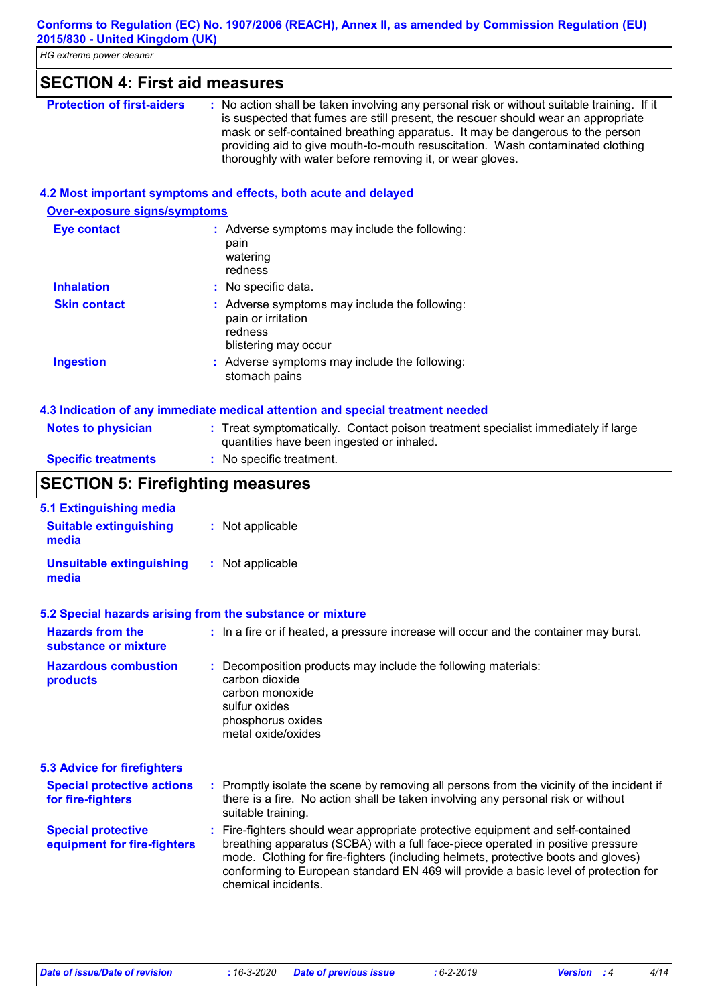### **SECTION 4: First aid measures**

| <b>Protection of first-aiders</b> | : No action shall be taken involving any personal risk or without suitable training. If it |
|-----------------------------------|--------------------------------------------------------------------------------------------|
|                                   | is suspected that fumes are still present, the rescuer should wear an appropriate          |
|                                   | mask or self-contained breathing apparatus. It may be dangerous to the person              |
|                                   | providing aid to give mouth-to-mouth resuscitation. Wash contaminated clothing             |
|                                   | thoroughly with water before removing it, or wear gloves.                                  |

#### **4.2 Most important symptoms and effects, both acute and delayed**

#### **Over-exposure signs/symptoms**

| Eye contact         | : Adverse symptoms may include the following:<br>pain<br>watering<br>redness                           |
|---------------------|--------------------------------------------------------------------------------------------------------|
| <b>Inhalation</b>   | : No specific data.                                                                                    |
| <b>Skin contact</b> | : Adverse symptoms may include the following:<br>pain or irritation<br>redness<br>blistering may occur |
| Ingestion           | : Adverse symptoms may include the following:<br>stomach pains                                         |

|                            | 4.3 Indication of any immediate medical attention and special treatment needed                                                 |
|----------------------------|--------------------------------------------------------------------------------------------------------------------------------|
| <b>Notes to physician</b>  | : Treat symptomatically. Contact poison treatment specialist immediately if large<br>quantities have been ingested or inhaled. |
| <b>Specific treatments</b> | : No specific treatment.                                                                                                       |

# **SECTION 5: Firefighting measures**

| : Not applicable                                                                                                                                                                                                                                                                                                                                                      |  |  |  |
|-----------------------------------------------------------------------------------------------------------------------------------------------------------------------------------------------------------------------------------------------------------------------------------------------------------------------------------------------------------------------|--|--|--|
| : Not applicable                                                                                                                                                                                                                                                                                                                                                      |  |  |  |
| 5.2 Special hazards arising from the substance or mixture                                                                                                                                                                                                                                                                                                             |  |  |  |
| : In a fire or if heated, a pressure increase will occur and the container may burst.                                                                                                                                                                                                                                                                                 |  |  |  |
| : Decomposition products may include the following materials:<br>carbon dioxide<br>carbon monoxide<br>sulfur oxides<br>phosphorus oxides<br>metal oxide/oxides                                                                                                                                                                                                        |  |  |  |
|                                                                                                                                                                                                                                                                                                                                                                       |  |  |  |
| : Promptly isolate the scene by removing all persons from the vicinity of the incident if<br>there is a fire. No action shall be taken involving any personal risk or without<br>suitable training.                                                                                                                                                                   |  |  |  |
| : Fire-fighters should wear appropriate protective equipment and self-contained<br>breathing apparatus (SCBA) with a full face-piece operated in positive pressure<br>mode. Clothing for fire-fighters (including helmets, protective boots and gloves)<br>conforming to European standard EN 469 will provide a basic level of protection for<br>chemical incidents. |  |  |  |
|                                                                                                                                                                                                                                                                                                                                                                       |  |  |  |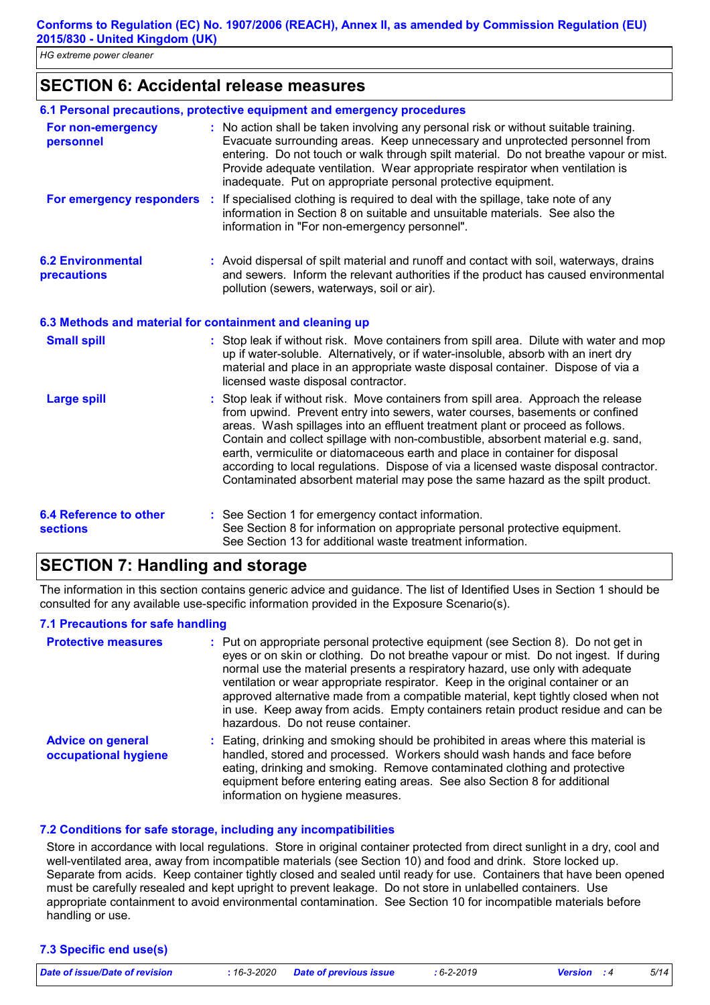### **SECTION 6: Accidental release measures**

|                                                  | 6.1 Personal precautions, protective equipment and emergency procedures                                                                                                                                                                                                                                                                                                                                                                                                                                                                                                                         |  |
|--------------------------------------------------|-------------------------------------------------------------------------------------------------------------------------------------------------------------------------------------------------------------------------------------------------------------------------------------------------------------------------------------------------------------------------------------------------------------------------------------------------------------------------------------------------------------------------------------------------------------------------------------------------|--|
| For non-emergency<br>personnel                   | : No action shall be taken involving any personal risk or without suitable training.<br>Evacuate surrounding areas. Keep unnecessary and unprotected personnel from<br>entering. Do not touch or walk through spilt material. Do not breathe vapour or mist.<br>Provide adequate ventilation. Wear appropriate respirator when ventilation is<br>inadequate. Put on appropriate personal protective equipment.                                                                                                                                                                                  |  |
|                                                  | For emergency responders : If specialised clothing is required to deal with the spillage, take note of any<br>information in Section 8 on suitable and unsuitable materials. See also the<br>information in "For non-emergency personnel".                                                                                                                                                                                                                                                                                                                                                      |  |
| <b>6.2 Environmental</b><br>precautions          | : Avoid dispersal of spilt material and runoff and contact with soil, waterways, drains<br>and sewers. Inform the relevant authorities if the product has caused environmental<br>pollution (sewers, waterways, soil or air).                                                                                                                                                                                                                                                                                                                                                                   |  |
|                                                  | 6.3 Methods and material for containment and cleaning up                                                                                                                                                                                                                                                                                                                                                                                                                                                                                                                                        |  |
| <b>Small spill</b>                               | : Stop leak if without risk. Move containers from spill area. Dilute with water and mop<br>up if water-soluble. Alternatively, or if water-insoluble, absorb with an inert dry<br>material and place in an appropriate waste disposal container. Dispose of via a<br>licensed waste disposal contractor.                                                                                                                                                                                                                                                                                        |  |
| <b>Large spill</b>                               | Stop leak if without risk. Move containers from spill area. Approach the release<br>from upwind. Prevent entry into sewers, water courses, basements or confined<br>areas. Wash spillages into an effluent treatment plant or proceed as follows.<br>Contain and collect spillage with non-combustible, absorbent material e.g. sand,<br>earth, vermiculite or diatomaceous earth and place in container for disposal<br>according to local regulations. Dispose of via a licensed waste disposal contractor.<br>Contaminated absorbent material may pose the same hazard as the spilt product. |  |
| <b>6.4 Reference to other</b><br><b>sections</b> | : See Section 1 for emergency contact information.<br>See Section 8 for information on appropriate personal protective equipment.<br>See Section 13 for additional waste treatment information.                                                                                                                                                                                                                                                                                                                                                                                                 |  |

### **SECTION 7: Handling and storage**

The information in this section contains generic advice and guidance. The list of Identified Uses in Section 1 should be consulted for any available use-specific information provided in the Exposure Scenario(s).

#### **7.1 Precautions for safe handling**

| <b>Protective measures</b>                       | : Put on appropriate personal protective equipment (see Section 8). Do not get in<br>eyes or on skin or clothing. Do not breathe vapour or mist. Do not ingest. If during<br>normal use the material presents a respiratory hazard, use only with adequate<br>ventilation or wear appropriate respirator. Keep in the original container or an<br>approved alternative made from a compatible material, kept tightly closed when not<br>in use. Keep away from acids. Empty containers retain product residue and can be<br>hazardous. Do not reuse container. |
|--------------------------------------------------|----------------------------------------------------------------------------------------------------------------------------------------------------------------------------------------------------------------------------------------------------------------------------------------------------------------------------------------------------------------------------------------------------------------------------------------------------------------------------------------------------------------------------------------------------------------|
| <b>Advice on general</b><br>occupational hygiene | : Eating, drinking and smoking should be prohibited in areas where this material is<br>handled, stored and processed. Workers should wash hands and face before<br>eating, drinking and smoking. Remove contaminated clothing and protective<br>equipment before entering eating areas. See also Section 8 for additional<br>information on hygiene measures.                                                                                                                                                                                                  |

#### **7.2 Conditions for safe storage, including any incompatibilities**

Store in accordance with local regulations. Store in original container protected from direct sunlight in a dry, cool and well-ventilated area, away from incompatible materials (see Section 10) and food and drink. Store locked up. Separate from acids. Keep container tightly closed and sealed until ready for use. Containers that have been opened must be carefully resealed and kept upright to prevent leakage. Do not store in unlabelled containers. Use appropriate containment to avoid environmental contamination. See Section 10 for incompatible materials before handling or use.

#### **7.3 Specific end use(s)**

*Date of issue/Date of revision* **:** *16-3-2020 Date of previous issue : 6-2-2019 Version : 4 5/14*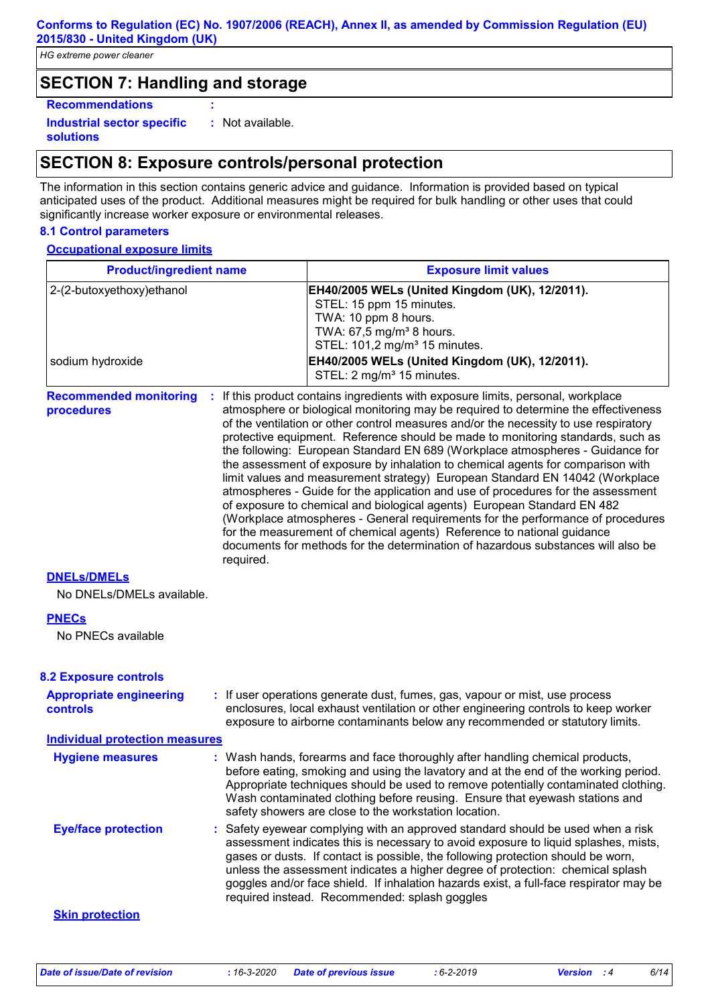### **SECTION 7: Handling and storage**

**Recommendations :**

**Industrial sector specific : solutions** : Not available.

### **SECTION 8: Exposure controls/personal protection**

The information in this section contains generic advice and guidance. Information is provided based on typical anticipated uses of the product. Additional measures might be required for bulk handling or other uses that could significantly increase worker exposure or environmental releases.

#### **8.1 Control parameters**

**Occupational exposure limits**

| <b>Product/ingredient name</b>                 |           | <b>Exposure limit values</b>                                                                                                                                                                                                                                                                                                                                                                                                                                                                                                                                                                                                                                                                                                                                                                                                                                                                                                                                                                                        |  |
|------------------------------------------------|-----------|---------------------------------------------------------------------------------------------------------------------------------------------------------------------------------------------------------------------------------------------------------------------------------------------------------------------------------------------------------------------------------------------------------------------------------------------------------------------------------------------------------------------------------------------------------------------------------------------------------------------------------------------------------------------------------------------------------------------------------------------------------------------------------------------------------------------------------------------------------------------------------------------------------------------------------------------------------------------------------------------------------------------|--|
| 2-(2-butoxyethoxy) ethanol<br>sodium hydroxide |           | EH40/2005 WELs (United Kingdom (UK), 12/2011).<br>STEL: 15 ppm 15 minutes.<br>TWA: 10 ppm 8 hours.<br>TWA: 67,5 mg/m <sup>3</sup> 8 hours.<br>STEL: 101,2 mg/m <sup>3</sup> 15 minutes.<br>EH40/2005 WELs (United Kingdom (UK), 12/2011).<br>STEL: 2 mg/m <sup>3</sup> 15 minutes.                                                                                                                                                                                                                                                                                                                                                                                                                                                                                                                                                                                                                                                                                                                                  |  |
| <b>Recommended monitoring</b><br>procedures    | required. | If this product contains ingredients with exposure limits, personal, workplace<br>atmosphere or biological monitoring may be required to determine the effectiveness<br>of the ventilation or other control measures and/or the necessity to use respiratory<br>protective equipment. Reference should be made to monitoring standards, such as<br>the following: European Standard EN 689 (Workplace atmospheres - Guidance for<br>the assessment of exposure by inhalation to chemical agents for comparison with<br>limit values and measurement strategy) European Standard EN 14042 (Workplace<br>atmospheres - Guide for the application and use of procedures for the assessment<br>of exposure to chemical and biological agents) European Standard EN 482<br>(Workplace atmospheres - General requirements for the performance of procedures<br>for the measurement of chemical agents) Reference to national guidance<br>documents for methods for the determination of hazardous substances will also be |  |
| <b>DNELS/DMELS</b>                             |           |                                                                                                                                                                                                                                                                                                                                                                                                                                                                                                                                                                                                                                                                                                                                                                                                                                                                                                                                                                                                                     |  |
| No DNELs/DMELs available.                      |           |                                                                                                                                                                                                                                                                                                                                                                                                                                                                                                                                                                                                                                                                                                                                                                                                                                                                                                                                                                                                                     |  |
| <b>PNECs</b><br>No PNECs available             |           |                                                                                                                                                                                                                                                                                                                                                                                                                                                                                                                                                                                                                                                                                                                                                                                                                                                                                                                                                                                                                     |  |
| <b>8.2 Exposure controls</b>                   |           |                                                                                                                                                                                                                                                                                                                                                                                                                                                                                                                                                                                                                                                                                                                                                                                                                                                                                                                                                                                                                     |  |
| <b>Appropriate engineering</b><br>controls     |           | : If user operations generate dust, fumes, gas, vapour or mist, use process<br>enclosures, local exhaust ventilation or other engineering controls to keep worker<br>exposure to airborne contaminants below any recommended or statutory limits.                                                                                                                                                                                                                                                                                                                                                                                                                                                                                                                                                                                                                                                                                                                                                                   |  |
| <b>Individual protection measures</b>          |           |                                                                                                                                                                                                                                                                                                                                                                                                                                                                                                                                                                                                                                                                                                                                                                                                                                                                                                                                                                                                                     |  |
| <b>Hygiene measures</b>                        |           | : Wash hands, forearms and face thoroughly after handling chemical products,<br>before eating, smoking and using the lavatory and at the end of the working period.<br>Appropriate techniques should be used to remove potentially contaminated clothing.<br>Wash contaminated clothing before reusing. Ensure that eyewash stations and<br>safety showers are close to the workstation location.                                                                                                                                                                                                                                                                                                                                                                                                                                                                                                                                                                                                                   |  |
| <b>Eye/face protection</b>                     |           | : Safety eyewear complying with an approved standard should be used when a risk<br>assessment indicates this is necessary to avoid exposure to liquid splashes, mists,<br>gases or dusts. If contact is possible, the following protection should be worn,<br>unless the assessment indicates a higher degree of protection: chemical splash<br>goggles and/or face shield. If inhalation hazards exist, a full-face respirator may be<br>required instead. Recommended: splash goggles                                                                                                                                                                                                                                                                                                                                                                                                                                                                                                                             |  |
| <b>Skin protection</b>                         |           |                                                                                                                                                                                                                                                                                                                                                                                                                                                                                                                                                                                                                                                                                                                                                                                                                                                                                                                                                                                                                     |  |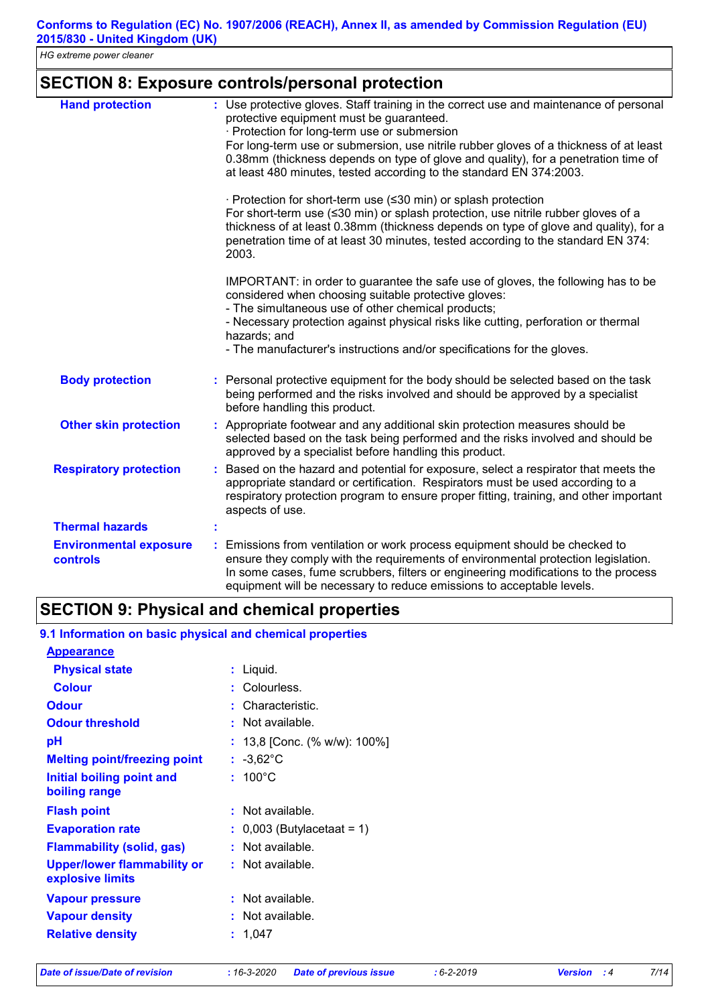|  | <b>SECTION 8: Exposure controls/personal protection</b> |  |  |
|--|---------------------------------------------------------|--|--|
|--|---------------------------------------------------------|--|--|

| <b>Hand protection</b>                    | : Use protective gloves. Staff training in the correct use and maintenance of personal<br>protective equipment must be guaranteed.<br>· Protection for long-term use or submersion<br>For long-term use or submersion, use nitrile rubber gloves of a thickness of at least<br>0.38mm (thickness depends on type of glove and quality), for a penetration time of<br>at least 480 minutes, tested according to the standard EN 374:2003.<br>· Protection for short-term use (≤30 min) or splash protection<br>For short-term use (≤30 min) or splash protection, use nitrile rubber gloves of a<br>thickness of at least 0.38mm (thickness depends on type of glove and quality), for a<br>penetration time of at least 30 minutes, tested according to the standard EN 374: |
|-------------------------------------------|------------------------------------------------------------------------------------------------------------------------------------------------------------------------------------------------------------------------------------------------------------------------------------------------------------------------------------------------------------------------------------------------------------------------------------------------------------------------------------------------------------------------------------------------------------------------------------------------------------------------------------------------------------------------------------------------------------------------------------------------------------------------------|
|                                           | 2003.<br>IMPORTANT: in order to guarantee the safe use of gloves, the following has to be<br>considered when choosing suitable protective gloves:<br>- The simultaneous use of other chemical products;<br>- Necessary protection against physical risks like cutting, perforation or thermal                                                                                                                                                                                                                                                                                                                                                                                                                                                                                |
|                                           | hazards; and<br>- The manufacturer's instructions and/or specifications for the gloves.                                                                                                                                                                                                                                                                                                                                                                                                                                                                                                                                                                                                                                                                                      |
| <b>Body protection</b>                    | : Personal protective equipment for the body should be selected based on the task<br>being performed and the risks involved and should be approved by a specialist<br>before handling this product.                                                                                                                                                                                                                                                                                                                                                                                                                                                                                                                                                                          |
| <b>Other skin protection</b>              | : Appropriate footwear and any additional skin protection measures should be<br>selected based on the task being performed and the risks involved and should be<br>approved by a specialist before handling this product.                                                                                                                                                                                                                                                                                                                                                                                                                                                                                                                                                    |
| <b>Respiratory protection</b>             | Based on the hazard and potential for exposure, select a respirator that meets the<br>appropriate standard or certification. Respirators must be used according to a<br>respiratory protection program to ensure proper fitting, training, and other important<br>aspects of use.                                                                                                                                                                                                                                                                                                                                                                                                                                                                                            |
| <b>Thermal hazards</b>                    |                                                                                                                                                                                                                                                                                                                                                                                                                                                                                                                                                                                                                                                                                                                                                                              |
| <b>Environmental exposure</b><br>controls | Emissions from ventilation or work process equipment should be checked to<br>ensure they comply with the requirements of environmental protection legislation.<br>In some cases, fume scrubbers, filters or engineering modifications to the process<br>equipment will be necessary to reduce emissions to acceptable levels.                                                                                                                                                                                                                                                                                                                                                                                                                                                |

| 9.1 Information on basic physical and chemical properties |                                       |
|-----------------------------------------------------------|---------------------------------------|
| <b>Appearance</b>                                         |                                       |
| <b>Physical state</b>                                     | : Liquid.                             |
| <b>Colour</b>                                             | : Colourless.                         |
| <b>Odour</b>                                              | $:$ Characteristic.                   |
| <b>Odour threshold</b>                                    | $\cdot$ Not available.                |
| рH                                                        | : $13,8$ [Conc. (% w/w): $100\%$ ]    |
| <b>Melting point/freezing point</b>                       | : $-3,62^{\circ}$ C                   |
| Initial boiling point and<br>boiling range                | $: 100^{\circ}$ C                     |
| <b>Flash point</b>                                        | $:$ Not available.                    |
| <b>Evaporation rate</b>                                   | $\therefore$ 0,003 (Butylacetaat = 1) |
| <b>Flammability (solid, gas)</b>                          | $:$ Not available.                    |
| <b>Upper/lower flammability or</b><br>explosive limits    | $:$ Not available.                    |
| <b>Vapour pressure</b>                                    | $:$ Not available.                    |
| <b>Vapour density</b>                                     | $:$ Not available.                    |
| <b>Relative density</b>                                   | : 1,047                               |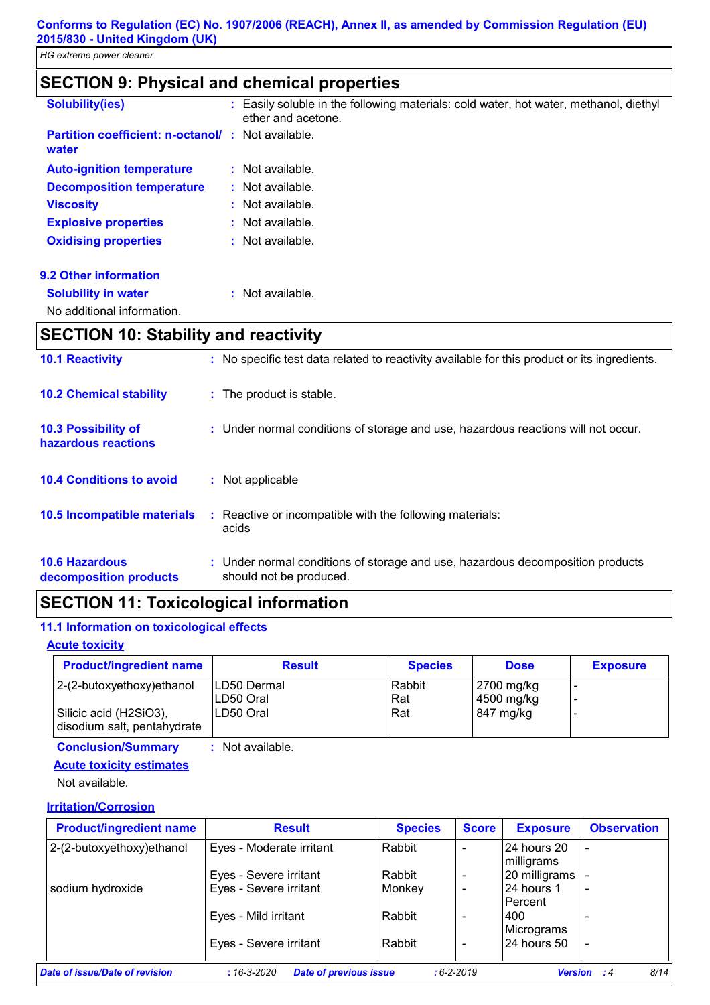# **SECTION 9: Physical and chemical properties**

| <b>Solubility(ies)</b>                                            | : Easily soluble in the following materials: cold water, hot water, methanol, diethyl<br>ether and acetone. |
|-------------------------------------------------------------------|-------------------------------------------------------------------------------------------------------------|
| <b>Partition coefficient: n-octanol/: Not available.</b><br>water |                                                                                                             |
| <b>Auto-ignition temperature</b>                                  | $:$ Not available.                                                                                          |
| <b>Decomposition temperature</b>                                  | $\therefore$ Not available.                                                                                 |
| <b>Viscosity</b>                                                  | $:$ Not available.                                                                                          |
| <b>Explosive properties</b>                                       | $:$ Not available.                                                                                          |
| <b>Oxidising properties</b>                                       | $:$ Not available.                                                                                          |
| <b>9.2 Other information</b>                                      |                                                                                                             |
| <b>Solubility in water</b>                                        | Not available.                                                                                              |
|                                                                   |                                                                                                             |

No additional information.

# **SECTION 10: Stability and reactivity**

| <b>10.1 Reactivity</b>                            | : No specific test data related to reactivity available for this product or its ingredients.              |
|---------------------------------------------------|-----------------------------------------------------------------------------------------------------------|
| <b>10.2 Chemical stability</b>                    | : The product is stable.                                                                                  |
| <b>10.3 Possibility of</b><br>hazardous reactions | : Under normal conditions of storage and use, hazardous reactions will not occur.                         |
| <b>10.4 Conditions to avoid</b>                   | : Not applicable                                                                                          |
| 10.5 Incompatible materials                       | : Reactive or incompatible with the following materials:<br>acids                                         |
| <b>10.6 Hazardous</b><br>decomposition products   | : Under normal conditions of storage and use, hazardous decomposition products<br>should not be produced. |

### **SECTION 11: Toxicological information**

#### **11.1 Information on toxicological effects**

#### **Acute toxicity**

| <b>Product/ingredient name</b>                        | <b>Result</b>              | <b>Species</b>       | <b>Dose</b>              | <b>Exposure</b> |
|-------------------------------------------------------|----------------------------|----------------------|--------------------------|-----------------|
| 2-(2-butoxyethoxy) ethanol                            | ILD50 Dermal<br>ILD50 Oral | Rabbit<br><b>Rat</b> | 2700 mg/kg<br>4500 mg/kg |                 |
| Silicic acid (H2SiO3),<br>disodium salt, pentahydrate | LD50 Oral                  | Rat                  | 847 mg/kg                |                 |

**Conclusion/Summary :** Not available.

#### **Acute toxicity estimates**

Not available.

#### **Irritation/Corrosion**

| <b>Product/ingredient name</b> | <b>Result</b>                                     | <b>Species</b> | <b>Score</b>     | <b>Exposure</b>           | <b>Observation</b>         |
|--------------------------------|---------------------------------------------------|----------------|------------------|---------------------------|----------------------------|
| 2-(2-butoxyethoxy)ethanol      | Eyes - Moderate irritant                          | Rabbit         |                  | 24 hours 20<br>milligrams |                            |
|                                | Eyes - Severe irritant                            | Rabbit         |                  | 20 milligrams             |                            |
| sodium hydroxide               | Eyes - Severe irritant                            | Monkey         |                  | 24 hours 1                |                            |
|                                |                                                   |                |                  | Percent                   |                            |
|                                | Eyes - Mild irritant                              | Rabbit         |                  | 1400                      |                            |
|                                |                                                   |                |                  | Micrograms                |                            |
|                                | Eyes - Severe irritant                            | Rabbit         |                  | 24 hours 50               |                            |
|                                |                                                   |                |                  |                           |                            |
| Date of issue/Date of revision | <b>Date of previous issue</b><br>$:16 - 3 - 2020$ |                | $: 6 - 2 - 2019$ |                           | 8/14<br><b>Version</b> : 4 |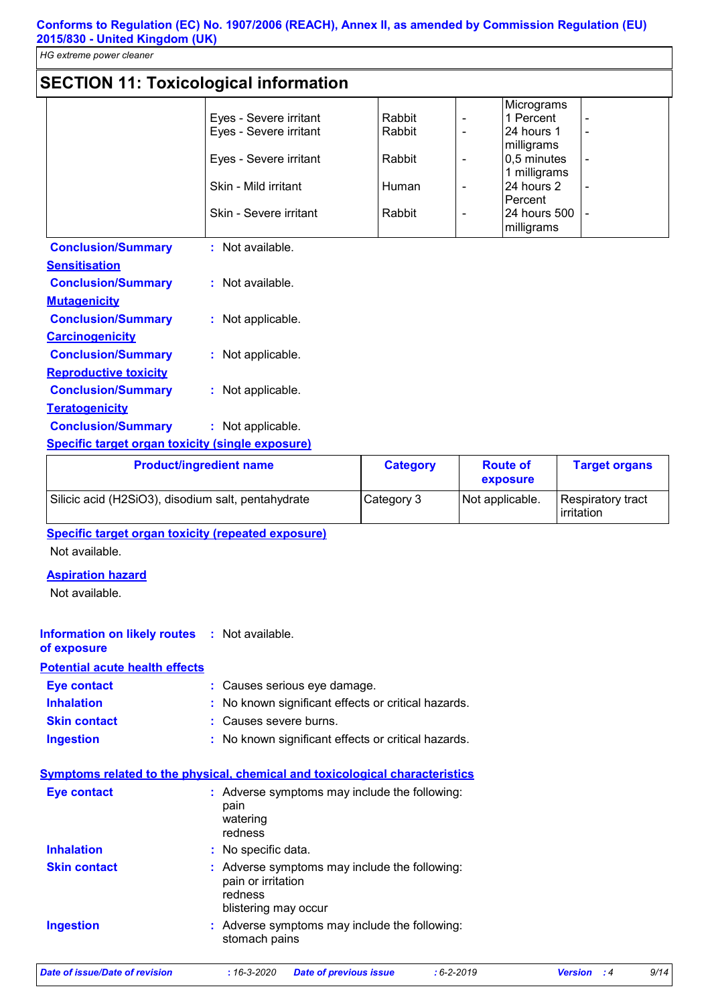**Conforms to Regulation (EC) No. 1907/2006 (REACH), Annex II, as amended by Commission Regulation (EU) 2015/830 - United Kingdom (UK)**

*HG extreme power cleaner*

# **SECTION 11: Toxicological information**

|                        |        | Micrograms   |  |
|------------------------|--------|--------------|--|
| Eyes - Severe irritant | Rabbit | 1 Percent    |  |
| Eyes - Severe irritant | Rabbit | l24 hours 1  |  |
|                        |        | milligrams   |  |
| Eyes - Severe irritant | Rabbit | 0,5 minutes  |  |
|                        |        | 1 milligrams |  |
| Skin - Mild irritant   | Human  | 24 hours 2   |  |
|                        |        | lPercent     |  |
| Skin - Severe irritant | Rabbit | 24 hours 500 |  |
|                        |        | milligrams   |  |

| <b>Conclusion/Summary</b>                        | : Not available.   |
|--------------------------------------------------|--------------------|
| <b>Sensitisation</b>                             |                    |
| <b>Conclusion/Summary</b>                        | $:$ Not available. |
| <b>Mutagenicity</b>                              |                    |
| <b>Conclusion/Summary</b>                        | : Not applicable.  |
| <b>Carcinogenicity</b>                           |                    |
| <b>Conclusion/Summary</b>                        | : Not applicable.  |
| <b>Reproductive toxicity</b>                     |                    |
| <b>Conclusion/Summary</b>                        | : Not applicable.  |
| <b>Teratogenicity</b>                            |                    |
| <b>Conclusion/Summary</b>                        | : Not applicable.  |
| Chaoifis taxaat axaan taylaitu (sinala aynaayya) |                    |

#### **Specific target organ toxicity (single exposure)**

| <b>Product/ingredient name</b>                     | <b>Category</b> | <b>Route of</b><br>exposure | <b>Target organs</b>                     |
|----------------------------------------------------|-----------------|-----------------------------|------------------------------------------|
| Silicic acid (H2SiO3), disodium salt, pentahydrate | Category 3      | Not applicable.             | Respiratory tract<br><b>l</b> irritation |

**Specific target organ toxicity (repeated exposure)**

Not available.

#### **Aspiration hazard**

Not available.

#### **Information on likely routes : Not available.**

### **of exposure**

**Potential acute health effects**

| Eye contact         | : Causes serious eye damage.                        |
|---------------------|-----------------------------------------------------|
| <b>Inhalation</b>   | : No known significant effects or critical hazards. |
| <b>Skin contact</b> | : Causes severe burns.                              |
| <b>Ingestion</b>    | : No known significant effects or critical hazards. |

### **Symptoms related to the physical, chemical and toxicological characteristics**

| <b>Eye contact</b>  | : Adverse symptoms may include the following:<br>pain<br>watering<br>redness                           |
|---------------------|--------------------------------------------------------------------------------------------------------|
| <b>Inhalation</b>   | : No specific data.                                                                                    |
| <b>Skin contact</b> | : Adverse symptoms may include the following:<br>pain or irritation<br>redness<br>blistering may occur |
| <b>Ingestion</b>    | : Adverse symptoms may include the following:<br>stomach pains                                         |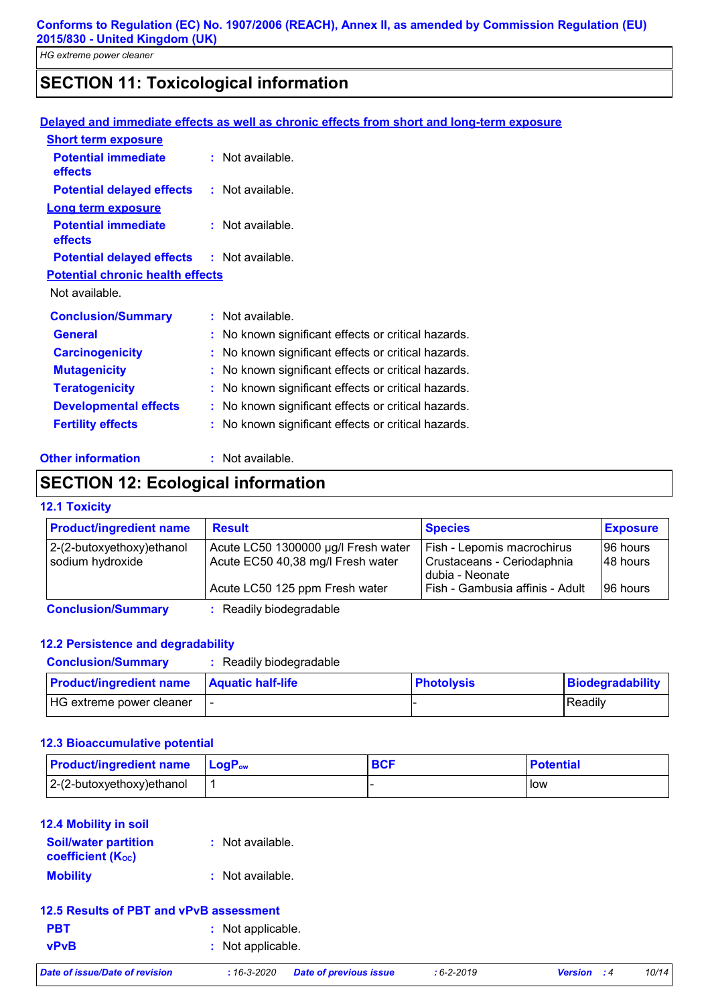# **SECTION 11: Toxicological information**

|                                                   | Delayed and immediate effects as well as chronic effects from short and long-term exposure |
|---------------------------------------------------|--------------------------------------------------------------------------------------------|
| <b>Short term exposure</b>                        |                                                                                            |
| <b>Potential immediate</b><br>effects             | $:$ Not available.                                                                         |
| <b>Potential delayed effects</b>                  | : Not available.                                                                           |
| <b>Long term exposure</b>                         |                                                                                            |
| <b>Potential immediate</b><br>effects             | $:$ Not available.                                                                         |
| <b>Potential delayed effects : Not available.</b> |                                                                                            |
| <b>Potential chronic health effects</b>           |                                                                                            |
| Not available.                                    |                                                                                            |
| <b>Conclusion/Summary</b>                         | : Not available.                                                                           |
| <b>General</b>                                    | No known significant effects or critical hazards.                                          |
| <b>Carcinogenicity</b>                            | : No known significant effects or critical hazards.                                        |
| <b>Mutagenicity</b>                               | : No known significant effects or critical hazards.                                        |
| <b>Teratogenicity</b>                             | No known significant effects or critical hazards.                                          |
| <b>Developmental effects</b>                      | : No known significant effects or critical hazards.                                        |
| <b>Fertility effects</b>                          | : No known significant effects or critical hazards.                                        |
| <b>Other information</b>                          | Not available.                                                                             |

# **SECTION 12: Ecological information**

#### **12.1 Toxicity**

| <b>Product/ingredient name</b> | <b>Result</b>                       | <b>Species</b>                                | <b>Exposure</b> |
|--------------------------------|-------------------------------------|-----------------------------------------------|-----------------|
| 2-(2-butoxyethoxy)ethanol      | Acute LC50 1300000 µg/l Fresh water | Fish - Lepomis macrochirus                    | 196 hours       |
| sodium hydroxide               | Acute EC50 40,38 mg/l Fresh water   | Crustaceans - Ceriodaphnia<br>dubia - Neonate | 148 hours       |
|                                | Acute LC50 125 ppm Fresh water      | Fish - Gambusia affinis - Adult               | 196 hours       |
| <b>Conclusion/Summary</b>      | : Readily biodegradable             |                                               |                 |

#### **12.2 Persistence and degradability**

| <b>Conclusion/Summary</b>      | : Readily biodegradable  |                   |                  |
|--------------------------------|--------------------------|-------------------|------------------|
| <b>Product/ingredient name</b> | <b>Aquatic half-life</b> | <b>Photolysis</b> | Biodegradability |
| HG extreme power cleaner       |                          |                   | l Readilv        |

#### **12.3 Bioaccumulative potential**

| <b>Product/ingredient name LogPow</b> | <b>BCF</b> | <b>Potential</b> |
|---------------------------------------|------------|------------------|
| 2-(2-butoxyethoxy)ethanol             |            | <b>low</b>       |

#### **12.4 Mobility in soil**

| <b>Soil/water partition</b><br>coefficient $(K_{oc})$ | : Not available. |
|-------------------------------------------------------|------------------|
| <b>Mobility</b>                                       | : Not available. |

#### **12.5 Results of PBT and vPvB assessment**

| <b>PBT</b>  | : Not applicable. |
|-------------|-------------------|
| <b>vPvB</b> | : Not applicable. |

*Date of issue/Date of revision* **:** *16-3-2020 Date of previous issue : 6-2-2019 Version : 4 10/14*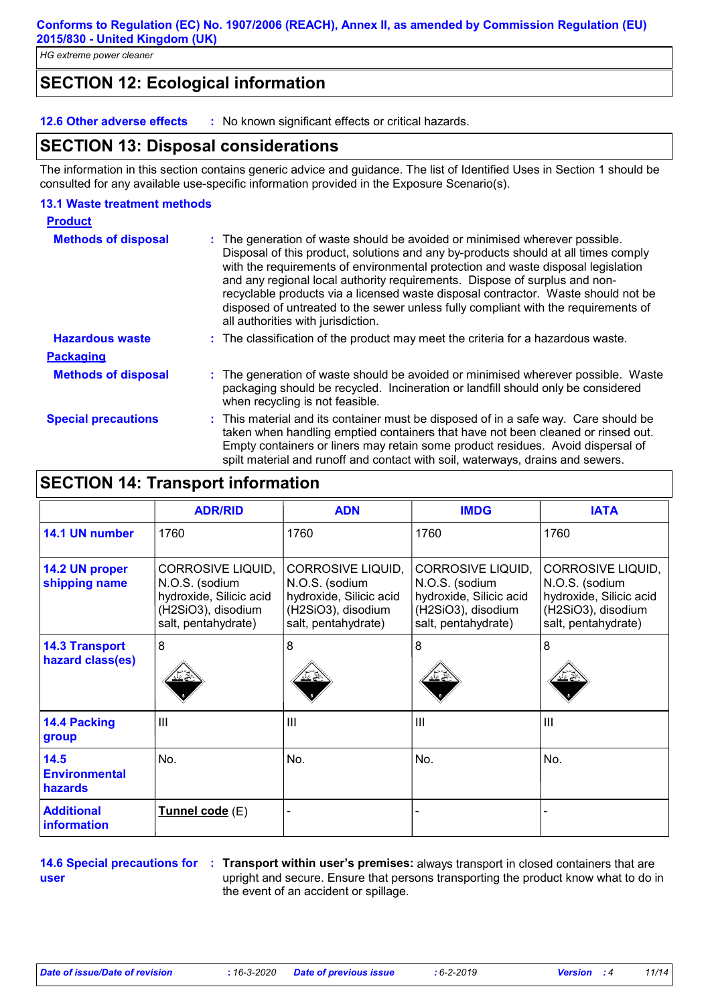# **SECTION 12: Ecological information**

**12.6 Other adverse effects :** No known significant effects or critical hazards.

### **SECTION 13: Disposal considerations**

The information in this section contains generic advice and guidance. The list of Identified Uses in Section 1 should be consulted for any available use-specific information provided in the Exposure Scenario(s).

#### **13.1 Waste treatment methods**

| <b>Product</b>             |                                                                                                                                                                                                                                                                                                                                                                                                                                                                                                                                                      |
|----------------------------|------------------------------------------------------------------------------------------------------------------------------------------------------------------------------------------------------------------------------------------------------------------------------------------------------------------------------------------------------------------------------------------------------------------------------------------------------------------------------------------------------------------------------------------------------|
| <b>Methods of disposal</b> | : The generation of waste should be avoided or minimised wherever possible.<br>Disposal of this product, solutions and any by-products should at all times comply<br>with the requirements of environmental protection and waste disposal legislation<br>and any regional local authority requirements. Dispose of surplus and non-<br>recyclable products via a licensed waste disposal contractor. Waste should not be<br>disposed of untreated to the sewer unless fully compliant with the requirements of<br>all authorities with jurisdiction. |
| <b>Hazardous waste</b>     | : The classification of the product may meet the criteria for a hazardous waste.                                                                                                                                                                                                                                                                                                                                                                                                                                                                     |
| <b>Packaging</b>           |                                                                                                                                                                                                                                                                                                                                                                                                                                                                                                                                                      |
| <b>Methods of disposal</b> | : The generation of waste should be avoided or minimised wherever possible. Waste<br>packaging should be recycled. Incineration or landfill should only be considered<br>when recycling is not feasible.                                                                                                                                                                                                                                                                                                                                             |
| <b>Special precautions</b> | : This material and its container must be disposed of in a safe way. Care should be<br>taken when handling emptied containers that have not been cleaned or rinsed out.<br>Empty containers or liners may retain some product residues. Avoid dispersal of<br>spilt material and runoff and contact with soil, waterways, drains and sewers.                                                                                                                                                                                                         |

# **SECTION 14: Transport information**

|                                           | <b>ADR/RID</b>                                                                                                     | <b>ADN</b>                                                                                                  | <b>IMDG</b>                                                                                                        | <b>IATA</b>                                                                                                 |
|-------------------------------------------|--------------------------------------------------------------------------------------------------------------------|-------------------------------------------------------------------------------------------------------------|--------------------------------------------------------------------------------------------------------------------|-------------------------------------------------------------------------------------------------------------|
| 14.1 UN number                            | 1760                                                                                                               | 1760                                                                                                        | 1760                                                                                                               | 1760                                                                                                        |
| 14.2 UN proper<br>shipping name           | <b>CORROSIVE LIQUID,</b><br>N.O.S. (sodium<br>hydroxide, Silicic acid<br>(H2SiO3), disodium<br>salt, pentahydrate) | CORROSIVE LIQUID,<br>N.O.S. (sodium<br>hydroxide, Silicic acid<br>(H2SiO3), disodium<br>salt, pentahydrate) | <b>CORROSIVE LIQUID,</b><br>N.O.S. (sodium<br>hydroxide, Silicic acid<br>(H2SiO3), disodium<br>salt, pentahydrate) | CORROSIVE LIQUID,<br>N.O.S. (sodium<br>hydroxide, Silicic acid<br>(H2SiO3), disodium<br>salt, pentahydrate) |
| <b>14.3 Transport</b><br>hazard class(es) | 8                                                                                                                  | 8                                                                                                           | 8                                                                                                                  | 8                                                                                                           |
| <b>14.4 Packing</b><br>group              | III                                                                                                                | III                                                                                                         | $\mathbf{III}$                                                                                                     | III                                                                                                         |
| 14.5<br><b>Environmental</b><br>hazards   | No.                                                                                                                | No.                                                                                                         | No.                                                                                                                | No.                                                                                                         |
| <b>Additional</b><br>information          | <u>Tunnel code</u> (E)                                                                                             |                                                                                                             |                                                                                                                    |                                                                                                             |

**user**

**14.6 Special precautions for : Transport within user's premises:** always transport in closed containers that are upright and secure. Ensure that persons transporting the product know what to do in the event of an accident or spillage.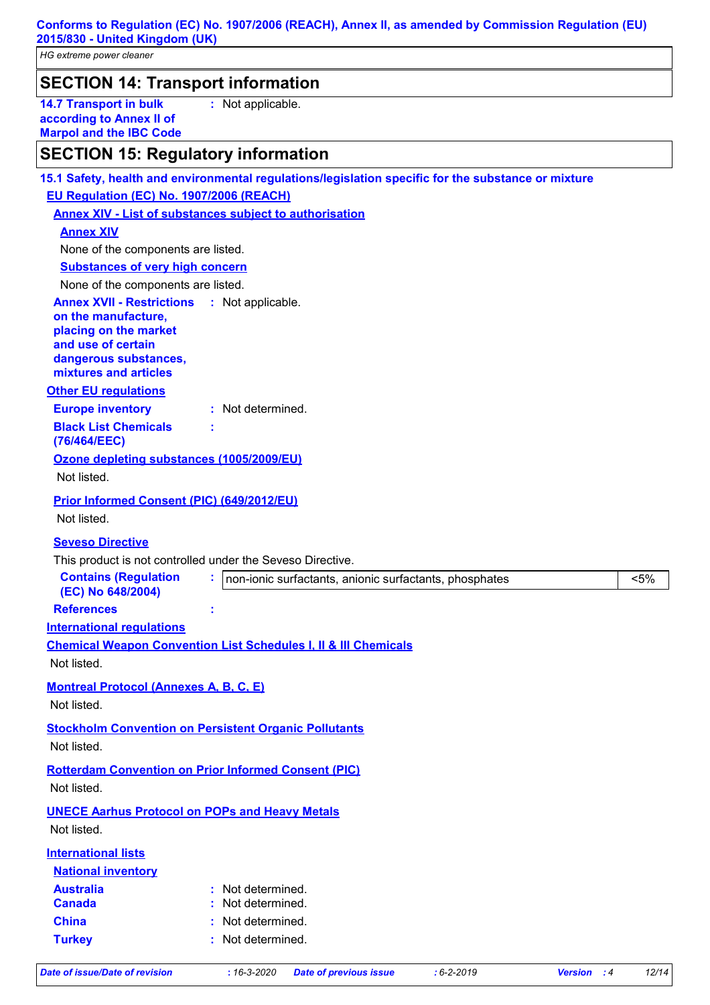**Conforms to Regulation (EC) No. 1907/2006 (REACH), Annex II, as amended by Commission Regulation (EU) 2015/830 - United Kingdom (UK)**

*HG extreme power cleaner*

| <b>SECTION 14: Transport information</b> |                                                                                             |                   |  |
|------------------------------------------|---------------------------------------------------------------------------------------------|-------------------|--|
|                                          | <b>14.7 Transport in bulk</b><br>according to Annex II of<br><b>Marpol and the IBC Code</b> | : Not applicable. |  |

# **SECTION 15: Regulatory information**

|                                                    | 15.1 Safety, health and environmental regulations/legislation specific for the substance or mixture |
|----------------------------------------------------|-----------------------------------------------------------------------------------------------------|
| EU Regulation (EC) No. 1907/2006 (REACH)           |                                                                                                     |
|                                                    | <b>Annex XIV - List of substances subject to authorisation</b>                                      |
| <b>Annex XIV</b>                                   |                                                                                                     |
| None of the components are listed.                 |                                                                                                     |
| <b>Substances of very high concern</b>             |                                                                                                     |
| None of the components are listed.                 |                                                                                                     |
| <b>Annex XVII - Restrictions : Not applicable.</b> |                                                                                                     |
| on the manufacture,<br>placing on the market       |                                                                                                     |
| and use of certain                                 |                                                                                                     |
| dangerous substances,                              |                                                                                                     |
| mixtures and articles                              |                                                                                                     |
| <b>Other EU regulations</b>                        |                                                                                                     |
| <b>Europe inventory</b>                            | : Not determined.                                                                                   |
| <b>Black List Chemicals</b><br>(76/464/EEC)        |                                                                                                     |
| Ozone depleting substances (1005/2009/EU)          |                                                                                                     |
| Not listed.                                        |                                                                                                     |
| Prior Informed Consent (PIC) (649/2012/EU)         |                                                                                                     |
| Not listed.                                        |                                                                                                     |
| <b>Seveso Directive</b>                            |                                                                                                     |
|                                                    | This product is not controlled under the Seveso Directive.                                          |
| <b>Contains (Regulation</b>                        | non-ionic surfactants, anionic surfactants, phosphates<br>$< 5\%$                                   |
| (EC) No 648/2004)                                  |                                                                                                     |
|                                                    |                                                                                                     |
| <b>References</b>                                  |                                                                                                     |
| <b>International requlations</b>                   |                                                                                                     |
|                                                    | <b>Chemical Weapon Convention List Schedules I, II &amp; III Chemicals</b>                          |
| Not listed.                                        |                                                                                                     |
| <b>Montreal Protocol (Annexes A, B, C, E)</b>      |                                                                                                     |
| Not listed.                                        |                                                                                                     |
|                                                    | <b>Stockholm Convention on Persistent Organic Pollutants</b>                                        |
| Not listed.                                        |                                                                                                     |
|                                                    |                                                                                                     |
|                                                    | <b>Rotterdam Convention on Prior Informed Consent (PIC)</b>                                         |
| Not listed.                                        |                                                                                                     |
|                                                    | <b>UNECE Aarhus Protocol on POPs and Heavy Metals</b>                                               |
| Not listed.                                        |                                                                                                     |
| <b>International lists</b>                         |                                                                                                     |
| <b>National inventory</b>                          |                                                                                                     |
| <b>Australia</b>                                   | : Not determined.                                                                                   |
| <b>Canada</b>                                      | : Not determined.                                                                                   |
| <b>China</b><br><b>Turkey</b>                      | : Not determined.<br>: Not determined.                                                              |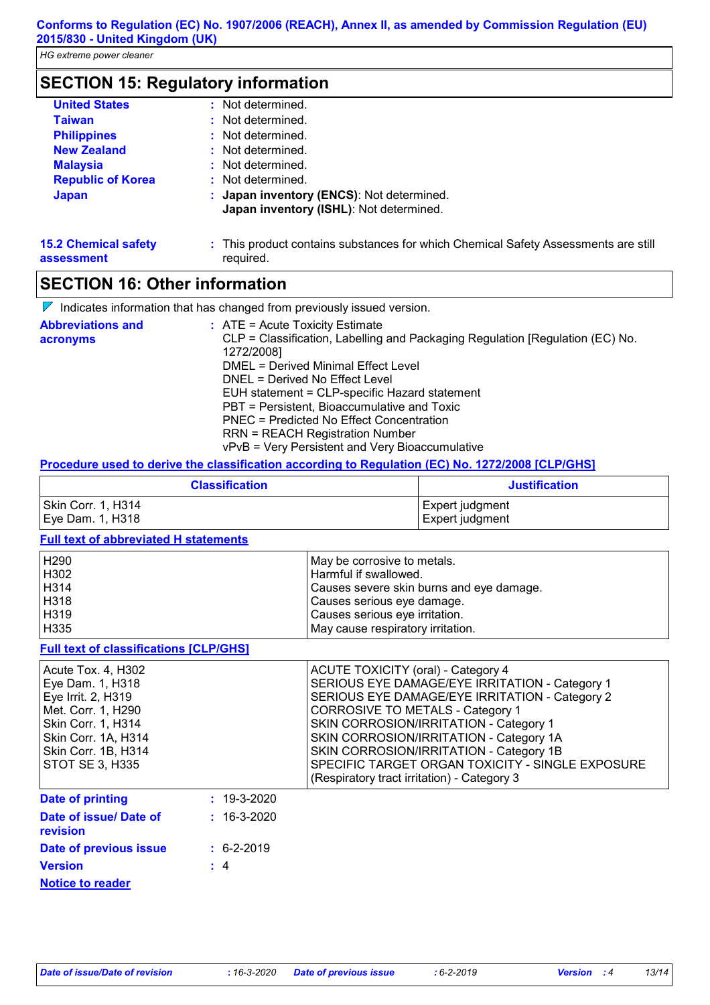# **SECTION 15: Regulatory information**

| <b>United States</b>                      | : Not determined.                                                                               |
|-------------------------------------------|-------------------------------------------------------------------------------------------------|
| <b>Taiwan</b>                             | : Not determined.                                                                               |
| <b>Philippines</b>                        | : Not determined.                                                                               |
| <b>New Zealand</b>                        | : Not determined.                                                                               |
| <b>Malaysia</b>                           | : Not determined.                                                                               |
| <b>Republic of Korea</b>                  | : Not determined.                                                                               |
| <b>Japan</b>                              | : Japan inventory (ENCS): Not determined.<br>Japan inventory (ISHL): Not determined.            |
| <b>15.2 Chemical safety</b><br>assessment | : This product contains substances for which Chemical Safety Assessments are still<br>reguired. |

### **SECTION 16: Other information**

 $\nabla$  Indicates information that has changed from previously issued version.

| <b>Abbreviations and</b><br>acronyms | $:$ ATE = Acute Toxicity Estimate<br>CLP = Classification, Labelling and Packaging Regulation [Regulation (EC) No. |
|--------------------------------------|--------------------------------------------------------------------------------------------------------------------|
|                                      | 1272/2008]                                                                                                         |
|                                      | DMEL = Derived Minimal Effect Level                                                                                |
|                                      | DNEL = Derived No Effect Level                                                                                     |
|                                      | EUH statement = CLP-specific Hazard statement                                                                      |
|                                      | PBT = Persistent, Bioaccumulative and Toxic                                                                        |
|                                      | PNEC = Predicted No Effect Concentration                                                                           |
|                                      | <b>RRN = REACH Registration Number</b>                                                                             |
|                                      | vPvB = Very Persistent and Very Bioaccumulative                                                                    |

#### **Procedure used to derive the classification according to Regulation (EC) No. 1272/2008 [CLP/GHS]**

| <b>Classification</b> | <b>Justification</b> |
|-----------------------|----------------------|
| Skin Corr. 1, H314    | Expert judgment      |
| Eye Dam. 1, H318      | Expert judgment      |

#### **Full text of abbreviated H statements**

| H290 | l May be corrosive to metals.            |
|------|------------------------------------------|
| H302 | Harmful if swallowed.                    |
| H314 | Causes severe skin burns and eye damage. |
| H318 | Causes serious eye damage.               |
| H319 | Causes serious eye irritation.           |
| H335 | May cause respiratory irritation.        |

#### **Full text of classifications [CLP/GHS]**

| Acute Tox. 4, H302<br>Eye Dam. 1, H318<br>Eye Irrit. 2, H319<br>Met. Corr. 1, H290<br>Skin Corr. 1, H314<br>Skin Corr. 1A, H314<br>Skin Corr. 1B, H314<br>STOT SE 3, H335 |                   | ACUTE TOXICITY (oral) - Category 4<br>SERIOUS EYE DAMAGE/EYE IRRITATION - Category 1<br>SERIOUS EYE DAMAGE/EYE IRRITATION - Category 2<br>CORROSIVE TO METALS - Category 1<br>SKIN CORROSION/IRRITATION - Category 1<br>SKIN CORROSION/IRRITATION - Category 1A<br>SKIN CORROSION/IRRITATION - Category 1B<br>SPECIFIC TARGET ORGAN TOXICITY - SINGLE EXPOSURE<br>(Respiratory tract irritation) - Category 3 |
|---------------------------------------------------------------------------------------------------------------------------------------------------------------------------|-------------------|---------------------------------------------------------------------------------------------------------------------------------------------------------------------------------------------------------------------------------------------------------------------------------------------------------------------------------------------------------------------------------------------------------------|
| <b>Date of printing</b>                                                                                                                                                   | $: 19 - 3 - 2020$ |                                                                                                                                                                                                                                                                                                                                                                                                               |
| Date of issue/ Date of<br>revision                                                                                                                                        | $: 16 - 3 - 2020$ |                                                                                                                                                                                                                                                                                                                                                                                                               |
| Date of previous issue                                                                                                                                                    | $\div$ 6-2-2019   |                                                                                                                                                                                                                                                                                                                                                                                                               |

| Date of previous issue  | $\div$ 6-2-2019 |
|-------------------------|-----------------|
| <b>Version</b>          | $\pm$ 4         |
| <b>Notice to reader</b> |                 |